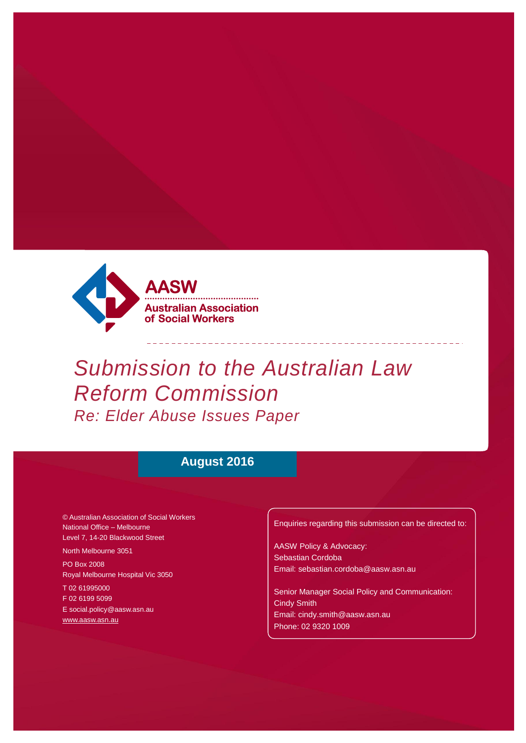

# *Submission to the Australian Law Reform Commission Re: Elder Abuse Issues Paper*

 $\begin{array}{cccccccccccccc} \multicolumn{2}{c}{} & \multicolumn{2}{c}{} & \multicolumn{2}{c}{} & \multicolumn{2}{c}{} & \multicolumn{2}{c}{} & \multicolumn{2}{c}{} & \multicolumn{2}{c}{} & \multicolumn{2}{c}{} & \multicolumn{2}{c}{} & \multicolumn{2}{c}{} & \multicolumn{2}{c}{} & \multicolumn{2}{c}{} & \multicolumn{2}{c}{} & \multicolumn{2}{c}{} & \multicolumn{2}{c}{} & \multicolumn{2}{c}{} & \multicolumn{2}{c}{} & \multicolumn{2}{c}{} & \multicolumn{2}{c}{} & \$ 

------------

# **August 2016**

© Australian Association of Social Workers National Office – Melbourne Level 7, 14-20 Blackwood Street

North Melbourne 3051

PO Box 2008 Royal Melbourne Hospital Vic 3050

T 02 61995000 F 02 6199 5099 [E social.policy@aasw.asn.au](mailto:advocacy@aasw.asn.au) [www.aasw.asn.au](http://www.aasw.asn.au/)

Enquiries regarding this submission can be directed to:

AASW Policy & Advocacy: Sebastian Cordoba [Email: sebastian.cordoba@aasw.asn.au](mailto:ceo@aasw.asn.au)

Senior Manager Social Policy and Communication: Cindy Smith [Email: cindy.smith@aasw.asn.au](mailto:stephen.brand@aasw.asn.au)  Phone: 02 9320 1009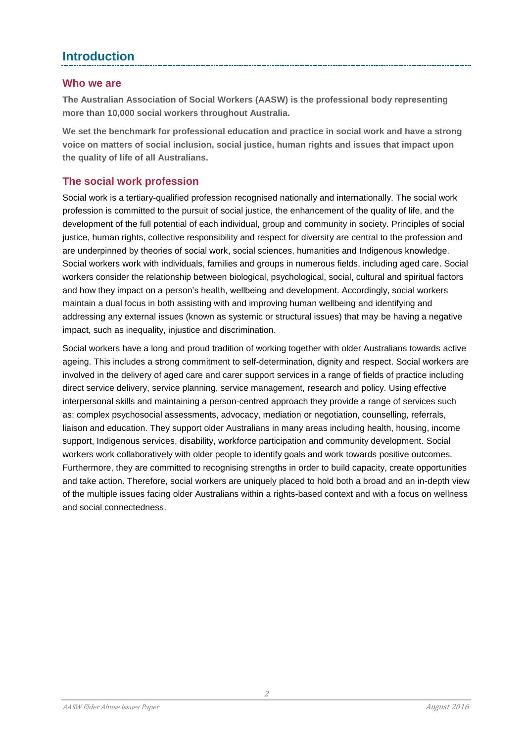# **Introduction**

#### **Who we are**

**The Australian Association of Social Workers (AASW) is the professional body representing more than 10,000 social workers throughout Australia.** 

**We set the benchmark for professional education and practice in social work and have a strong voice on matters of social inclusion, social justice, human rights and issues that impact upon the quality of life of all Australians.**

### **The social work profession**

Social work is a tertiary-qualified profession recognised nationally and internationally. The social work profession is committed to the pursuit of social justice, the enhancement of the quality of life, and the development of the full potential of each individual, group and community in society. Principles of social justice, human rights, collective responsibility and respect for diversity are central to the profession and are underpinned by theories of social work, social sciences, humanities and Indigenous knowledge. Social workers work with individuals, families and groups in numerous fields, including aged care. Social workers consider the relationship between biological, psychological, social, cultural and spiritual factors and how they impact on a person's health, wellbeing and development. Accordingly, social workers maintain a dual focus in both assisting with and improving human wellbeing and identifying and addressing any external issues (known as systemic or structural issues) that may be having a negative impact, such as inequality, injustice and discrimination.

Social workers have a long and proud tradition of working together with older Australians towards active ageing. This includes a strong commitment to self-determination, dignity and respect. Social workers are involved in the delivery of aged care and carer support services in a range of fields of practice including direct service delivery, service planning, service management, research and policy. Using effective interpersonal skills and maintaining a person-centred approach they provide a range of services such as: complex psychosocial assessments, advocacy, mediation or negotiation, counselling, referrals, liaison and education. They support older Australians in many areas including health, housing, income support, Indigenous services, disability, workforce participation and community development. Social workers work collaboratively with older people to identify goals and work towards positive outcomes. Furthermore, they are committed to recognising strengths in order to build capacity, create opportunities and take action. Therefore, social workers are uniquely placed to hold both a broad and an in-depth view of the multiple issues facing older Australians within a rights-based context and with a focus on wellness and social connectedness.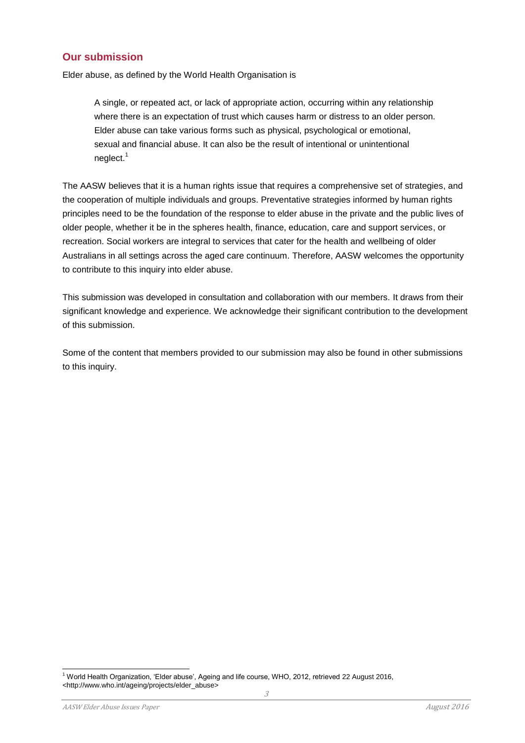#### **Our submission**

Elder abuse, as defined by the World Health Organisation is

A single, or repeated act, or lack of appropriate action, occurring within any relationship where there is an expectation of trust which causes harm or distress to an older person. Elder abuse can take various forms such as physical, psychological or emotional, sexual and financial abuse. It can also be the result of intentional or unintentional neglect.<sup>1</sup>

The AASW believes that it is a human rights issue that requires a comprehensive set of strategies, and the cooperation of multiple individuals and groups. Preventative strategies informed by human rights principles need to be the foundation of the response to elder abuse in the private and the public lives of older people, whether it be in the spheres health, finance, education, care and support services, or recreation. Social workers are integral to services that cater for the health and wellbeing of older Australians in all settings across the aged care continuum. Therefore, AASW welcomes the opportunity to contribute to this inquiry into elder abuse.

This submission was developed in consultation and collaboration with our members. It draws from their significant knowledge and experience. We acknowledge their significant contribution to the development of this submission.

Some of the content that members provided to our submission may also be found in other submissions to this inquiry.

l

<sup>1</sup> World Health Organization, 'Elder abuse', Ageing and life course, WHO, 2012, retrieved 22 August 2016, <http://www.who.int/ageing/projects/elder\_abuse>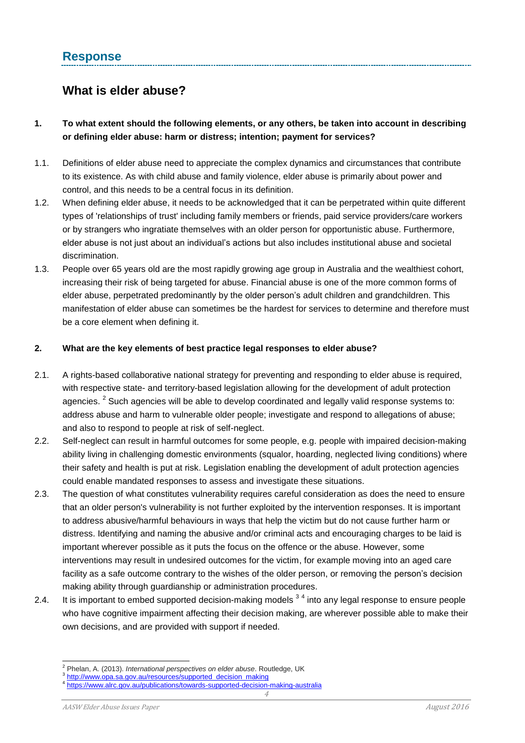# **What is elder abuse?**

#### **1. To what extent should the following elements, or any others, be taken into account in describing or defining elder abuse: harm or distress; intention; payment for services?**

- 1.1. Definitions of elder abuse need to appreciate the complex dynamics and circumstances that contribute to its existence. As with child abuse and family violence, elder abuse is primarily about power and control, and this needs to be a central focus in its definition.
- 1.2. When defining elder abuse, it needs to be acknowledged that it can be perpetrated within quite different types of 'relationships of trust' including family members or friends, paid service providers/care workers or by strangers who ingratiate themselves with an older person for opportunistic abuse. Furthermore, elder abuse is not just about an individual's actions but also includes institutional abuse and societal discrimination.
- 1.3. People over 65 years old are the most rapidly growing age group in Australia and the wealthiest cohort, increasing their risk of being targeted for abuse. Financial abuse is one of the more common forms of elder abuse, perpetrated predominantly by the older person's adult children and grandchildren. This manifestation of elder abuse can sometimes be the hardest for services to determine and therefore must be a core element when defining it.

#### **2. What are the key elements of best practice legal responses to elder abuse?**

- 2.1. A rights-based collaborative national strategy for preventing and responding to elder abuse is required, with respective state- and territory-based legislation allowing for the development of adult protection agencies.  $^{2}$  Such agencies will be able to develop coordinated and legally valid response systems to: address abuse and harm to vulnerable older people; investigate and respond to allegations of abuse; and also to respond to people at risk of self-neglect.
- 2.2. Self-neglect can result in harmful outcomes for some people, e.g. people with impaired decision-making ability living in challenging domestic environments (squalor, hoarding, neglected living conditions) where their safety and health is put at risk. Legislation enabling the development of adult protection agencies could enable mandated responses to assess and investigate these situations.
- 2.3. The question of what constitutes vulnerability requires careful consideration as does the need to ensure that an older person's vulnerability is not further exploited by the intervention responses. It is important to address abusive/harmful behaviours in ways that help the victim but do not cause further harm or distress. Identifying and naming the abusive and/or criminal acts and encouraging charges to be laid is important wherever possible as it puts the focus on the offence or the abuse. However, some interventions may result in undesired outcomes for the victim, for example moving into an aged care facility as a safe outcome contrary to the wishes of the older person, or removing the person's decision making ability through guardianship or administration procedures.
- 2.4. It is important to embed supported decision-making models  $^{3}$  4 into any legal response to ensure people who have cognitive impairment affecting their decision making, are wherever possible able to make their own decisions, and are provided with support if needed.

l <sup>2</sup> Phelan, A. (2013). *International perspectives on elder abuse*. Routledge, UK

<sup>&</sup>lt;sup>3</sup> [http://www.opa.sa.gov.au/resources/supported\\_decision\\_making](http://www.opa.sa.gov.au/resources/supported_decision_making)

<sup>&</sup>lt;sup>4</sup> <https://www.alrc.gov.au/publications/towards-supported-decision-making-australia>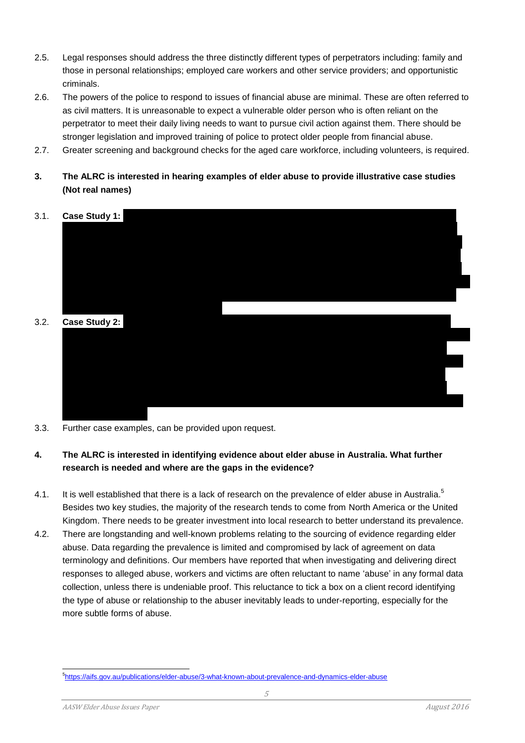- 2.5. Legal responses should address the three distinctly different types of perpetrators including: family and those in personal relationships; employed care workers and other service providers; and opportunistic criminals.
- 2.6. The powers of the police to respond to issues of financial abuse are minimal. These are often referred to as civil matters. It is unreasonable to expect a vulnerable older person who is often reliant on the perpetrator to meet their daily living needs to want to pursue civil action against them. There should be stronger legislation and improved training of police to protect older people from financial abuse.
- 2.7. Greater screening and background checks for the aged care workforce, including volunteers, is required.
- **3. The ALRC is interested in hearing examples of elder abuse to provide illustrative case studies (Not real names)**



3.3. Further case examples, can be provided upon request.

#### **4. The ALRC is interested in identifying evidence about elder abuse in Australia. What further research is needed and where are the gaps in the evidence?**

- 4.1. It is well established that there is a lack of research on the prevalence of elder abuse in Australia.<sup>5</sup> Besides two key studies, the majority of the research tends to come from North America or the United Kingdom. There needs to be greater investment into local research to better understand its prevalence.
- 4.2. There are longstanding and well-known problems relating to the sourcing of evidence regarding elder abuse. Data regarding the prevalence is limited and compromised by lack of agreement on data terminology and definitions. Our members have reported that when investigating and delivering direct responses to alleged abuse, workers and victims are often reluctant to name 'abuse' in any formal data collection, unless there is undeniable proof. This reluctance to tick a box on a client record identifying the type of abuse or relationship to the abuser inevitably leads to under-reporting, especially for the more subtle forms of abuse.

s<br><sup>5</sup><https://aifs.gov.au/publications/elder-abuse/3-what-known-about-prevalence-and-dynamics-elder-abuse>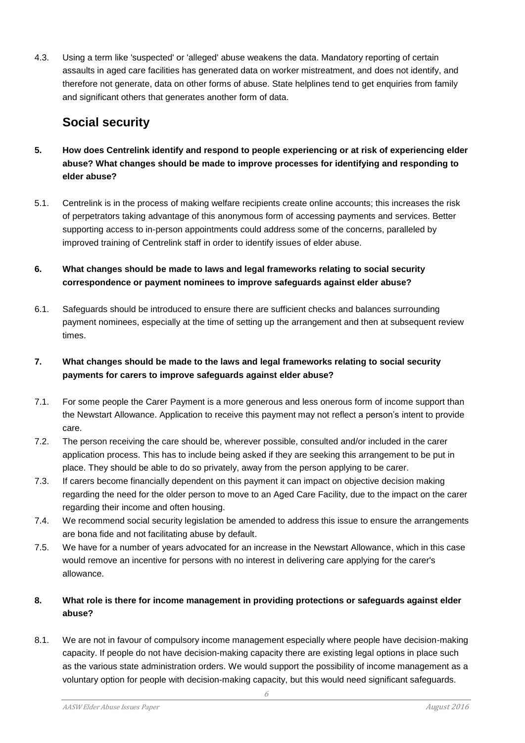4.3. Using a term like 'suspected' or 'alleged' abuse weakens the data. Mandatory reporting of certain assaults in aged care facilities has generated data on worker mistreatment, and does not identify, and therefore not generate, data on other forms of abuse. State helplines tend to get enquiries from family and significant others that generates another form of data.

# **Social security**

- **5. How does Centrelink identify and respond to people experiencing or at risk of experiencing elder abuse? What changes should be made to improve processes for identifying and responding to elder abuse?**
- 5.1. Centrelink is in the process of making welfare recipients create online accounts; this increases the risk of perpetrators taking advantage of this anonymous form of accessing payments and services. Better supporting access to in-person appointments could address some of the concerns, paralleled by improved training of Centrelink staff in order to identify issues of elder abuse.
- **6. What changes should be made to laws and legal frameworks relating to social security correspondence or payment nominees to improve safeguards against elder abuse?**
- 6.1. Safeguards should be introduced to ensure there are sufficient checks and balances surrounding payment nominees, especially at the time of setting up the arrangement and then at subsequent review times.

#### **7. What changes should be made to the laws and legal frameworks relating to social security payments for carers to improve safeguards against elder abuse?**

- 7.1. For some people the Carer Payment is a more generous and less onerous form of income support than the Newstart Allowance. Application to receive this payment may not reflect a person's intent to provide care.
- 7.2. The person receiving the care should be, wherever possible, consulted and/or included in the carer application process. This has to include being asked if they are seeking this arrangement to be put in place. They should be able to do so privately, away from the person applying to be carer.
- 7.3. If carers become financially dependent on this payment it can impact on objective decision making regarding the need for the older person to move to an Aged Care Facility, due to the impact on the carer regarding their income and often housing.
- 7.4. We recommend social security legislation be amended to address this issue to ensure the arrangements are bona fide and not facilitating abuse by default.
- 7.5. We have for a number of years advocated for an increase in the Newstart Allowance, which in this case would remove an incentive for persons with no interest in delivering care applying for the carer's allowance.

#### **8. What role is there for income management in providing protections or safeguards against elder abuse?**

8.1. We are not in favour of compulsory income management especially where people have decision-making capacity. If people do not have decision-making capacity there are existing legal options in place such as the various state administration orders. We would support the possibility of income management as a voluntary option for people with decision-making capacity, but this would need significant safeguards.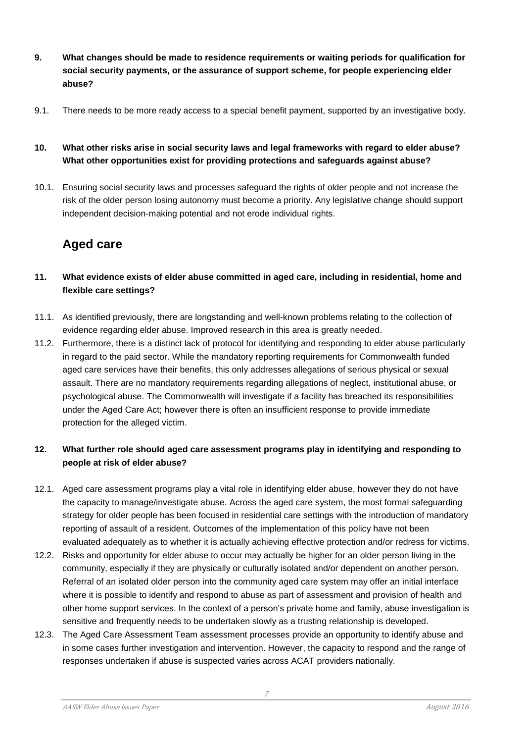- **9. What changes should be made to residence requirements or waiting periods for qualification for social security payments, or the assurance of support scheme, for people experiencing elder abuse?**
- 9.1. There needs to be more ready access to a special benefit payment, supported by an investigative body.

#### **10. What other risks arise in social security laws and legal frameworks with regard to elder abuse? What other opportunities exist for providing protections and safeguards against abuse?**

10.1. Ensuring social security laws and processes safeguard the rights of older people and not increase the risk of the older person losing autonomy must become a priority. Any legislative change should support independent decision-making potential and not erode individual rights.

# **Aged care**

- **11. What evidence exists of elder abuse committed in aged care, including in residential, home and flexible care settings?**
- 11.1. As identified previously, there are longstanding and well-known problems relating to the collection of evidence regarding elder abuse. Improved research in this area is greatly needed.
- 11.2. Furthermore, there is a distinct lack of protocol for identifying and responding to elder abuse particularly in regard to the paid sector. While the mandatory reporting requirements for Commonwealth funded aged care services have their benefits, this only addresses allegations of serious physical or sexual assault. There are no mandatory requirements regarding allegations of neglect, institutional abuse, or psychological abuse. The Commonwealth will investigate if a facility has breached its responsibilities under the Aged Care Act; however there is often an insufficient response to provide immediate protection for the alleged victim.

#### **12. What further role should aged care assessment programs play in identifying and responding to people at risk of elder abuse?**

- 12.1. Aged care assessment programs play a vital role in identifying elder abuse, however they do not have the capacity to manage/investigate abuse. Across the aged care system, the most formal safeguarding strategy for older people has been focused in residential care settings with the introduction of mandatory reporting of assault of a resident. Outcomes of the implementation of this policy have not been evaluated adequately as to whether it is actually achieving effective protection and/or redress for victims.
- 12.2. Risks and opportunity for elder abuse to occur may actually be higher for an older person living in the community, especially if they are physically or culturally isolated and/or dependent on another person. Referral of an isolated older person into the community aged care system may offer an initial interface where it is possible to identify and respond to abuse as part of assessment and provision of health and other home support services. In the context of a person's private home and family, abuse investigation is sensitive and frequently needs to be undertaken slowly as a trusting relationship is developed.
- 12.3. The Aged Care Assessment Team assessment processes provide an opportunity to identify abuse and in some cases further investigation and intervention. However, the capacity to respond and the range of responses undertaken if abuse is suspected varies across ACAT providers nationally.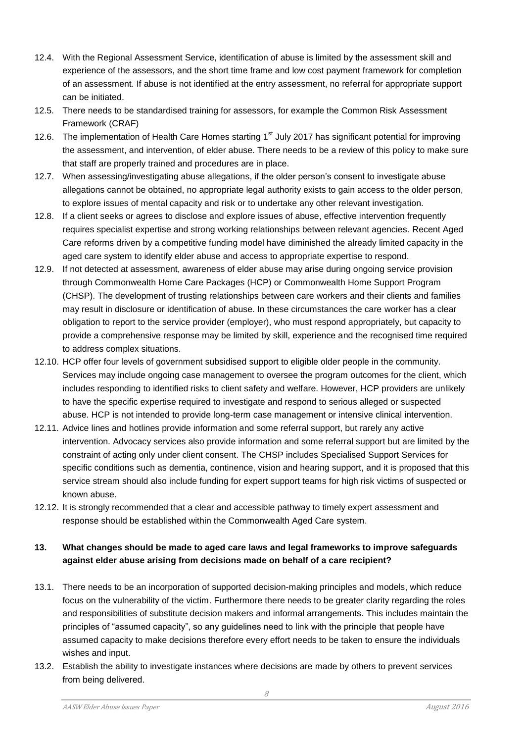- 12.4. With the Regional Assessment Service, identification of abuse is limited by the assessment skill and experience of the assessors, and the short time frame and low cost payment framework for completion of an assessment. If abuse is not identified at the entry assessment, no referral for appropriate support can be initiated.
- 12.5. There needs to be standardised training for assessors, for example the Common Risk Assessment Framework (CRAF)
- 12.6. The implementation of Health Care Homes starting 1<sup>st</sup> July 2017 has significant potential for improving the assessment, and intervention, of elder abuse. There needs to be a review of this policy to make sure that staff are properly trained and procedures are in place.
- 12.7. When assessing/investigating abuse allegations, if the older person's consent to investigate abuse allegations cannot be obtained, no appropriate legal authority exists to gain access to the older person, to explore issues of mental capacity and risk or to undertake any other relevant investigation.
- 12.8. If a client seeks or agrees to disclose and explore issues of abuse, effective intervention frequently requires specialist expertise and strong working relationships between relevant agencies. Recent Aged Care reforms driven by a competitive funding model have diminished the already limited capacity in the aged care system to identify elder abuse and access to appropriate expertise to respond.
- 12.9. If not detected at assessment, awareness of elder abuse may arise during ongoing service provision through Commonwealth Home Care Packages (HCP) or Commonwealth Home Support Program (CHSP). The development of trusting relationships between care workers and their clients and families may result in disclosure or identification of abuse. In these circumstances the care worker has a clear obligation to report to the service provider (employer), who must respond appropriately, but capacity to provide a comprehensive response may be limited by skill, experience and the recognised time required to address complex situations.
- 12.10. HCP offer four levels of government subsidised support to eligible older people in the community. Services may include ongoing case management to oversee the program outcomes for the client, which includes responding to identified risks to client safety and welfare. However, HCP providers are unlikely to have the specific expertise required to investigate and respond to serious alleged or suspected abuse. HCP is not intended to provide long-term case management or intensive clinical intervention.
- 12.11. Advice lines and hotlines provide information and some referral support, but rarely any active intervention. Advocacy services also provide information and some referral support but are limited by the constraint of acting only under client consent. The CHSP includes Specialised Support Services for specific conditions such as dementia, continence, vision and hearing support, and it is proposed that this service stream should also include funding for expert support teams for high risk victims of suspected or known abuse.
- 12.12. It is strongly recommended that a clear and accessible pathway to timely expert assessment and response should be established within the Commonwealth Aged Care system.

#### **13. What changes should be made to aged care laws and legal frameworks to improve safeguards against elder abuse arising from decisions made on behalf of a care recipient?**

- 13.1. There needs to be an incorporation of supported decision-making principles and models, which reduce focus on the vulnerability of the victim. Furthermore there needs to be greater clarity regarding the roles and responsibilities of substitute decision makers and informal arrangements. This includes maintain the principles of "assumed capacity", so any guidelines need to link with the principle that people have assumed capacity to make decisions therefore every effort needs to be taken to ensure the individuals wishes and input.
- 13.2. Establish the ability to investigate instances where decisions are made by others to prevent services from being delivered.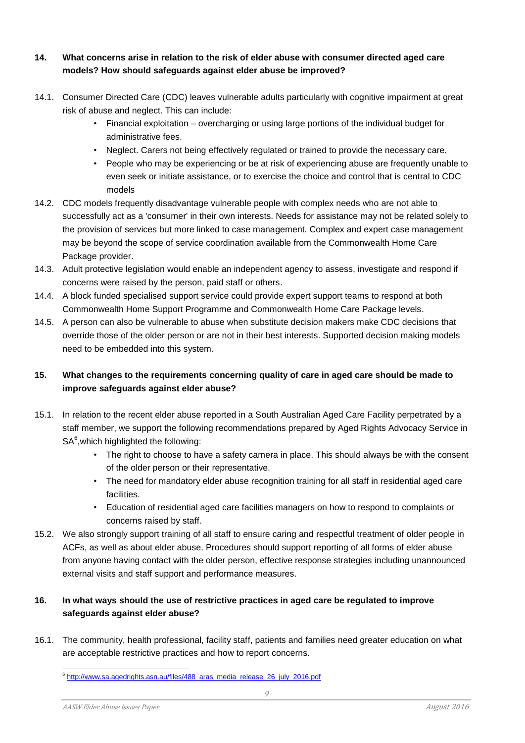#### **14. What concerns arise in relation to the risk of elder abuse with consumer directed aged care models? How should safeguards against elder abuse be improved?**

- 14.1. Consumer Directed Care (CDC) leaves vulnerable adults particularly with cognitive impairment at great risk of abuse and neglect. This can include:
	- Financial exploitation overcharging or using large portions of the individual budget for administrative fees.
	- Neglect. Carers not being effectively regulated or trained to provide the necessary care.
	- People who may be experiencing or be at risk of experiencing abuse are frequently unable to even seek or initiate assistance, or to exercise the choice and control that is central to CDC models
- 14.2. CDC models frequently disadvantage vulnerable people with complex needs who are not able to successfully act as a 'consumer' in their own interests. Needs for assistance may not be related solely to the provision of services but more linked to case management. Complex and expert case management may be beyond the scope of service coordination available from the Commonwealth Home Care Package provider.
- 14.3. Adult protective legislation would enable an independent agency to assess, investigate and respond if concerns were raised by the person, paid staff or others.
- 14.4. A block funded specialised support service could provide expert support teams to respond at both Commonwealth Home Support Programme and Commonwealth Home Care Package levels.
- 14.5. A person can also be vulnerable to abuse when substitute decision makers make CDC decisions that override those of the older person or are not in their best interests. Supported decision making models need to be embedded into this system.

#### **15. What changes to the requirements concerning quality of care in aged care should be made to improve safeguards against elder abuse?**

- 15.1. In relation to the recent elder abuse reported in a South Australian Aged Care Facility perpetrated by a staff member, we support the following recommendations prepared by Aged Rights Advocacy Service in  $\mathsf{SA}^6,$ which highlighted the following:
	- The right to choose to have a safety camera in place. This should always be with the consent of the older person or their representative.
	- The need for mandatory elder abuse recognition training for all staff in residential aged care facilities.
	- Education of residential aged care facilities managers on how to respond to complaints or concerns raised by staff.
- 15.2. We also strongly support training of all staff to ensure caring and respectful treatment of older people in ACFs, as well as about elder abuse. Procedures should support reporting of all forms of elder abuse from anyone having contact with the older person, effective response strategies including unannounced external visits and staff support and performance measures.

#### **16. In what ways should the use of restrictive practices in aged care be regulated to improve safeguards against elder abuse?**

16.1. The community, health professional, facility staff, patients and families need greater education on what are acceptable restrictive practices and how to report concerns.

e<br><sup>6</sup> [http://www.sa.agedrights.asn.au/files/488\\_aras\\_media\\_release\\_26\\_july\\_2016.pdf](http://www.sa.agedrights.asn.au/files/488_aras_media_release_26_july_2016.pdf)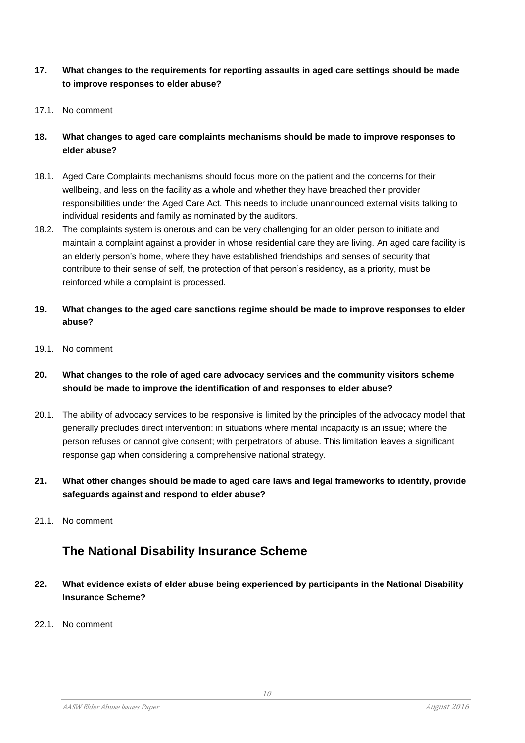- **17. What changes to the requirements for reporting assaults in aged care settings should be made to improve responses to elder abuse?**
- 17.1. No comment
- **18. What changes to aged care complaints mechanisms should be made to improve responses to elder abuse?**
- 18.1. Aged Care Complaints mechanisms should focus more on the patient and the concerns for their wellbeing, and less on the facility as a whole and whether they have breached their provider responsibilities under the Aged Care Act. This needs to include unannounced external visits talking to individual residents and family as nominated by the auditors.
- 18.2. The complaints system is onerous and can be very challenging for an older person to initiate and maintain a complaint against a provider in whose residential care they are living. An aged care facility is an elderly person's home, where they have established friendships and senses of security that contribute to their sense of self, the protection of that person's residency, as a priority, must be reinforced while a complaint is processed.
- **19. What changes to the aged care sanctions regime should be made to improve responses to elder abuse?**
- 19.1. No comment
- **20. What changes to the role of aged care advocacy services and the community visitors scheme should be made to improve the identification of and responses to elder abuse?**
- 20.1. The ability of advocacy services to be responsive is limited by the principles of the advocacy model that generally precludes direct intervention: in situations where mental incapacity is an issue; where the person refuses or cannot give consent; with perpetrators of abuse. This limitation leaves a significant response gap when considering a comprehensive national strategy.
- **21. What other changes should be made to aged care laws and legal frameworks to identify, provide safeguards against and respond to elder abuse?**
- 21.1 No comment

# **The National Disability Insurance Scheme**

- **22. What evidence exists of elder abuse being experienced by participants in the National Disability Insurance Scheme?**
- 22.1. No comment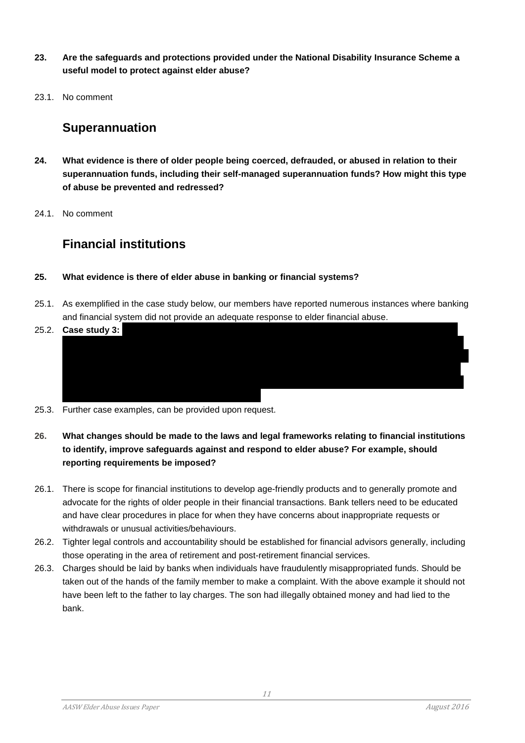- **23. Are the safeguards and protections provided under the National Disability Insurance Scheme a useful model to protect against elder abuse?**
- 23.1. No comment

# **Superannuation**

- **24. What evidence is there of older people being coerced, defrauded, or abused in relation to their superannuation funds, including their self-managed superannuation funds? How might this type of abuse be prevented and redressed?**
- 24.1. No comment

# **Financial institutions**

#### **25. What evidence is there of elder abuse in banking or financial systems?**

- 25.1. As exemplified in the case study below, our members have reported numerous instances where banking and financial system did not provide an adequate response to elder financial abuse.
- 25.2. **Case study 3:**
- 25.3. Further case examples, can be provided upon request.
- **26. What changes should be made to the laws and legal frameworks relating to financial institutions to identify, improve safeguards against and respond to elder abuse? For example, should reporting requirements be imposed?**
- 26.1. There is scope for financial institutions to develop age-friendly products and to generally promote and advocate for the rights of older people in their financial transactions. Bank tellers need to be educated and have clear procedures in place for when they have concerns about inappropriate requests or withdrawals or unusual activities/behaviours.
- 26.2. Tighter legal controls and accountability should be established for financial advisors generally, including those operating in the area of retirement and post-retirement financial services.
- 26.3. Charges should be laid by banks when individuals have fraudulently misappropriated funds. Should be taken out of the hands of the family member to make a complaint. With the above example it should not have been left to the father to lay charges. The son had illegally obtained money and had lied to the bank.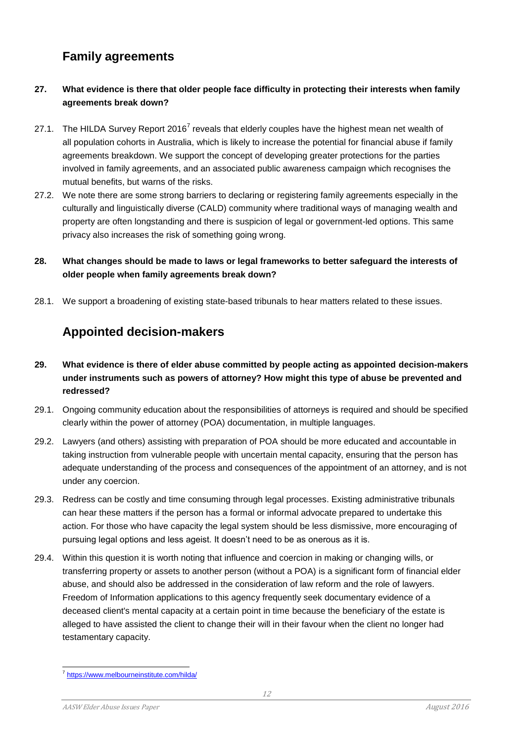# **Family agreements**

#### **27. What evidence is there that older people face difficulty in protecting their interests when family agreements break down?**

- 27.1. The HILDA Survey Report 2016<sup>7</sup> reveals that elderly couples have the highest mean net wealth of all population cohorts in Australia, which is likely to increase the potential for financial abuse if family agreements breakdown. We support the concept of developing greater protections for the parties involved in family agreements, and an associated public awareness campaign which recognises the mutual benefits, but warns of the risks.
- 27.2. We note there are some strong barriers to declaring or registering family agreements especially in the culturally and linguistically diverse (CALD) community where traditional ways of managing wealth and property are often longstanding and there is suspicion of legal or government-led options. This same privacy also increases the risk of something going wrong.

#### **28. What changes should be made to laws or legal frameworks to better safeguard the interests of older people when family agreements break down?**

28.1. We support a broadening of existing state-based tribunals to hear matters related to these issues.

# **Appointed decision-makers**

- **29. What evidence is there of elder abuse committed by people acting as appointed decision-makers under instruments such as powers of attorney? How might this type of abuse be prevented and redressed?**
- 29.1. Ongoing community education about the responsibilities of attorneys is required and should be specified clearly within the power of attorney (POA) documentation, in multiple languages.
- 29.2. Lawyers (and others) assisting with preparation of POA should be more educated and accountable in taking instruction from vulnerable people with uncertain mental capacity, ensuring that the person has adequate understanding of the process and consequences of the appointment of an attorney, and is not under any coercion.
- 29.3. Redress can be costly and time consuming through legal processes. Existing administrative tribunals can hear these matters if the person has a formal or informal advocate prepared to undertake this action. For those who have capacity the legal system should be less dismissive, more encouraging of pursuing legal options and less ageist. It doesn't need to be as onerous as it is.
- 29.4. Within this question it is worth noting that influence and coercion in making or changing wills, or transferring property or assets to another person (without a POA) is a significant form of financial elder abuse, and should also be addressed in the consideration of law reform and the role of lawyers. Freedom of Information applications to this agency frequently seek documentary evidence of a deceased client's mental capacity at a certain point in time because the beneficiary of the estate is alleged to have assisted the client to change their will in their favour when the client no longer had testamentary capacity.

<sup>&</sup>lt;sup>7</sup> <https://www.melbourneinstitute.com/hilda/>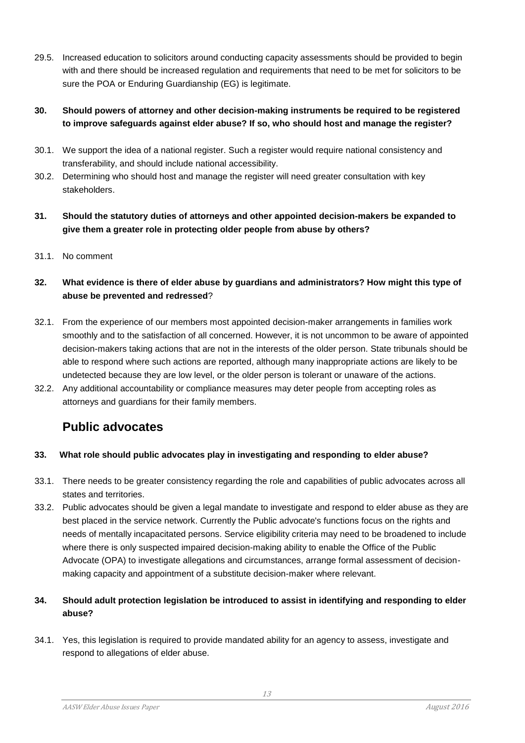29.5. Increased education to solicitors around conducting capacity assessments should be provided to begin with and there should be increased regulation and requirements that need to be met for solicitors to be sure the POA or Enduring Guardianship (EG) is legitimate.

#### **30. Should powers of attorney and other decision-making instruments be required to be registered to improve safeguards against elder abuse? If so, who should host and manage the register?**

- 30.1. We support the idea of a national register. Such a register would require national consistency and transferability, and should include national accessibility.
- 30.2. Determining who should host and manage the register will need greater consultation with key stakeholders.
- **31. Should the statutory duties of attorneys and other appointed decision-makers be expanded to give them a greater role in protecting older people from abuse by others?**
- 31.1. No comment

#### **32. What evidence is there of elder abuse by guardians and administrators? How might this type of abuse be prevented and redressed**?

- 32.1. From the experience of our members most appointed decision-maker arrangements in families work smoothly and to the satisfaction of all concerned. However, it is not uncommon to be aware of appointed decision-makers taking actions that are not in the interests of the older person. State tribunals should be able to respond where such actions are reported, although many inappropriate actions are likely to be undetected because they are low level, or the older person is tolerant or unaware of the actions.
- 32.2. Any additional accountability or compliance measures may deter people from accepting roles as attorneys and guardians for their family members.

# **Public advocates**

#### **33. What role should public advocates play in investigating and responding to elder abuse?**

- 33.1. There needs to be greater consistency regarding the role and capabilities of public advocates across all states and territories.
- 33.2. Public advocates should be given a legal mandate to investigate and respond to elder abuse as they are best placed in the service network. Currently the Public advocate's functions focus on the rights and needs of mentally incapacitated persons. Service eligibility criteria may need to be broadened to include where there is only suspected impaired decision-making ability to enable the Office of the Public Advocate (OPA) to investigate allegations and circumstances, arrange formal assessment of decisionmaking capacity and appointment of a substitute decision-maker where relevant.

#### **34. Should adult protection legislation be introduced to assist in identifying and responding to elder abuse?**

34.1. Yes, this legislation is required to provide mandated ability for an agency to assess, investigate and respond to allegations of elder abuse.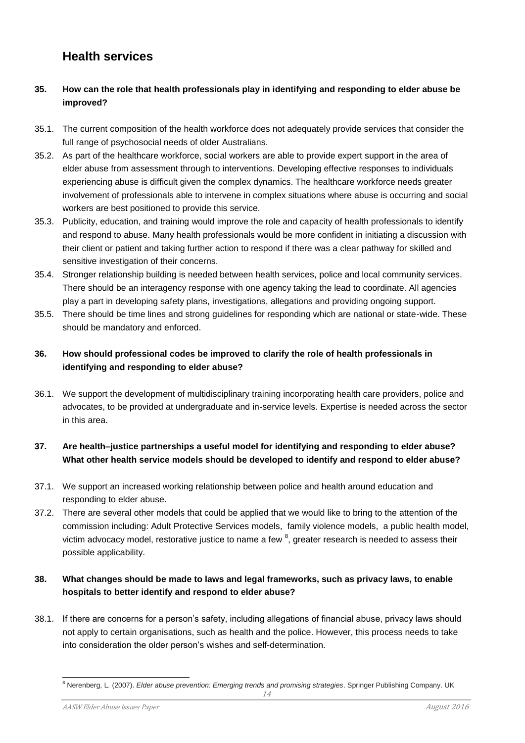### **Health services**

#### **35. How can the role that health professionals play in identifying and responding to elder abuse be improved?**

- 35.1. The current composition of the health workforce does not adequately provide services that consider the full range of psychosocial needs of older Australians.
- 35.2. As part of the healthcare workforce, social workers are able to provide expert support in the area of elder abuse from assessment through to interventions. Developing effective responses to individuals experiencing abuse is difficult given the complex dynamics. The healthcare workforce needs greater involvement of professionals able to intervene in complex situations where abuse is occurring and social workers are best positioned to provide this service.
- 35.3. Publicity, education, and training would improve the role and capacity of health professionals to identify and respond to abuse. Many health professionals would be more confident in initiating a discussion with their client or patient and taking further action to respond if there was a clear pathway for skilled and sensitive investigation of their concerns.
- 35.4. Stronger relationship building is needed between health services, police and local community services. There should be an interagency response with one agency taking the lead to coordinate. All agencies play a part in developing safety plans, investigations, allegations and providing ongoing support.
- 35.5. There should be time lines and strong guidelines for responding which are national or state-wide. These should be mandatory and enforced.

#### **36. How should professional codes be improved to clarify the role of health professionals in identifying and responding to elder abuse?**

36.1. We support the development of multidisciplinary training incorporating health care providers, police and advocates, to be provided at undergraduate and in-service levels. Expertise is needed across the sector in this area.

#### **37. Are health–justice partnerships a useful model for identifying and responding to elder abuse? What other health service models should be developed to identify and respond to elder abuse?**

- 37.1. We support an increased working relationship between police and health around education and responding to elder abuse.
- 37.2. There are several other models that could be applied that we would like to bring to the attention of the commission including: Adult Protective Services models, family violence models, a public health model, victim advocacy model, restorative justice to name a few  $^8$ , greater research is needed to assess their possible applicability.

#### **38. What changes should be made to laws and legal frameworks, such as privacy laws, to enable hospitals to better identify and respond to elder abuse?**

38.1. If there are concerns for a person's safety, including allegations of financial abuse, privacy laws should not apply to certain organisations, such as health and the police. However, this process needs to take into consideration the older person's wishes and self-determination.

l

<sup>&</sup>lt;sup>8</sup> Nerenberg, L. (2007). *Elder abuse prevention: Emerging trends and promising strategies*. Springer Publishing Company. UK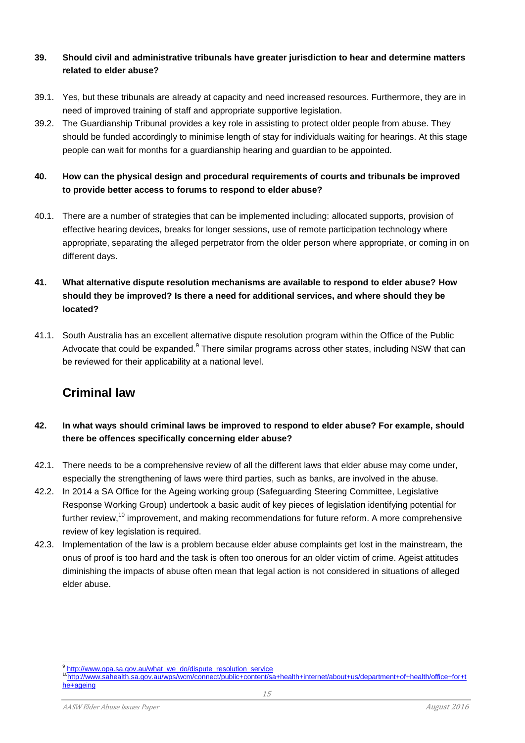#### **39. Should civil and administrative tribunals have greater jurisdiction to hear and determine matters related to elder abuse?**

- 39.1. Yes, but these tribunals are already at capacity and need increased resources. Furthermore, they are in need of improved training of staff and appropriate supportive legislation.
- 39.2. The Guardianship Tribunal provides a key role in assisting to protect older people from abuse. They should be funded accordingly to minimise length of stay for individuals waiting for hearings. At this stage people can wait for months for a guardianship hearing and guardian to be appointed.

#### **40. How can the physical design and procedural requirements of courts and tribunals be improved to provide better access to forums to respond to elder abuse?**

40.1. There are a number of strategies that can be implemented including: allocated supports, provision of effective hearing devices, breaks for longer sessions, use of remote participation technology where appropriate, separating the alleged perpetrator from the older person where appropriate, or coming in on different days.

#### **41. What alternative dispute resolution mechanisms are available to respond to elder abuse? How should they be improved? Is there a need for additional services, and where should they be located?**

41.1. South Australia has an excellent alternative dispute resolution program within the Office of the Public Advocate that could be expanded.<sup>9</sup> There similar programs across other states, including NSW that can be reviewed for their applicability at a national level.

# **Criminal law**

#### **42. In what ways should criminal laws be improved to respond to elder abuse? For example, should there be offences specifically concerning elder abuse?**

- 42.1. There needs to be a comprehensive review of all the different laws that elder abuse may come under, especially the strengthening of laws were third parties, such as banks, are involved in the abuse.
- 42.2. In 2014 a SA Office for the Ageing working group (Safeguarding Steering Committee, Legislative Response Working Group) undertook a basic audit of key pieces of legislation identifying potential for further review,<sup>10</sup> improvement, and making recommendations for future reform. A more comprehensive review of key legislation is required.
- 42.3. Implementation of the law is a problem because elder abuse complaints get lost in the mainstream, the onus of proof is too hard and the task is often too onerous for an older victim of crime. Ageist attitudes diminishing the impacts of abuse often mean that legal action is not considered in situations of alleged elder abuse.

l <sup>9</sup> [http://www.opa.sa.gov.au/what\\_we\\_do/dispute\\_resolution\\_service](http://www.opa.sa.gov.au/what_we_do/dispute_resolution_service)

<sup>10</sup>[http://www.sahealth.sa.gov.au/wps/wcm/connect/public+content/sa+health+internet/about+us/department+of+health/office+for+t](http://www.sahealth.sa.gov.au/wps/wcm/connect/public+content/sa+health+internet/about+us/department+of+health/office+for+the+ageing) [he+ageing](http://www.sahealth.sa.gov.au/wps/wcm/connect/public+content/sa+health+internet/about+us/department+of+health/office+for+the+ageing)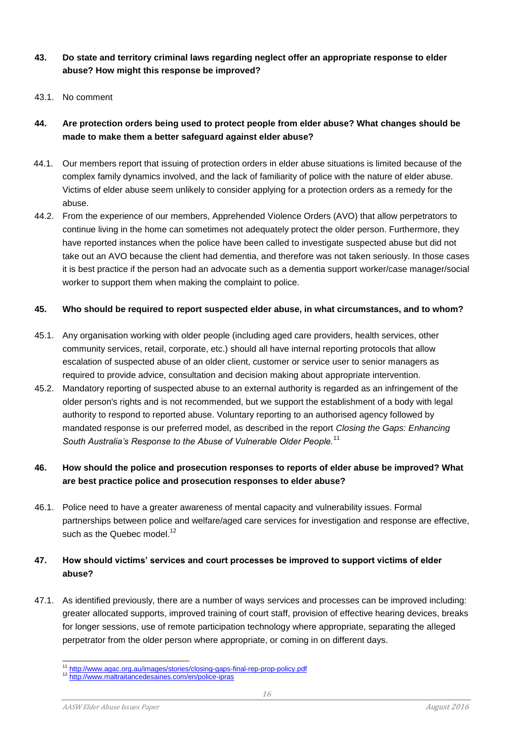#### **43. Do state and territory criminal laws regarding neglect offer an appropriate response to elder abuse? How might this response be improved?**

43.1. No comment

#### **44. Are protection orders being used to protect people from elder abuse? What changes should be made to make them a better safeguard against elder abuse?**

- 44.1. Our members report that issuing of protection orders in elder abuse situations is limited because of the complex family dynamics involved, and the lack of familiarity of police with the nature of elder abuse. Victims of elder abuse seem unlikely to consider applying for a protection orders as a remedy for the abuse.
- 44.2. From the experience of our members, Apprehended Violence Orders (AVO) that allow perpetrators to continue living in the home can sometimes not adequately protect the older person. Furthermore, they have reported instances when the police have been called to investigate suspected abuse but did not take out an AVO because the client had dementia, and therefore was not taken seriously. In those cases it is best practice if the person had an advocate such as a dementia support worker/case manager/social worker to support them when making the complaint to police.

#### **45. Who should be required to report suspected elder abuse, in what circumstances, and to whom?**

- 45.1. Any organisation working with older people (including aged care providers, health services, other community services, retail, corporate, etc.) should all have internal reporting protocols that allow escalation of suspected abuse of an older client, customer or service user to senior managers as required to provide advice, consultation and decision making about appropriate intervention.
- 45.2. Mandatory reporting of suspected abuse to an external authority is regarded as an infringement of the older person's rights and is not recommended, but we support the establishment of a body with legal authority to respond to reported abuse. Voluntary reporting to an authorised agency followed by mandated response is our preferred model, as described in the report *Closing the Gaps: Enhancing South Australia's Response to the Abuse of Vulnerable Older People.*<sup>11</sup>

#### **46. How should the police and prosecution responses to reports of elder abuse be improved? What are best practice police and prosecution responses to elder abuse?**

46.1. Police need to have a greater awareness of mental capacity and vulnerability issues. Formal partnerships between police and welfare/aged care services for investigation and response are effective, such as the Quebec model.<sup>12</sup>

#### **47. How should victims' services and court processes be improved to support victims of elder abuse?**

47.1. As identified previously, there are a number of ways services and processes can be improved including: greater allocated supports, improved training of court staff, provision of effective hearing devices, breaks for longer sessions, use of remote participation technology where appropriate, separating the alleged perpetrator from the older person where appropriate, or coming in on different days.

l <sup>11</sup> <http://www.agac.org.au/images/stories/closing-gaps-final-rep-prop-policy.pdf>

<sup>12</sup> <http://www.maltraitancedesaines.com/en/police-ipras>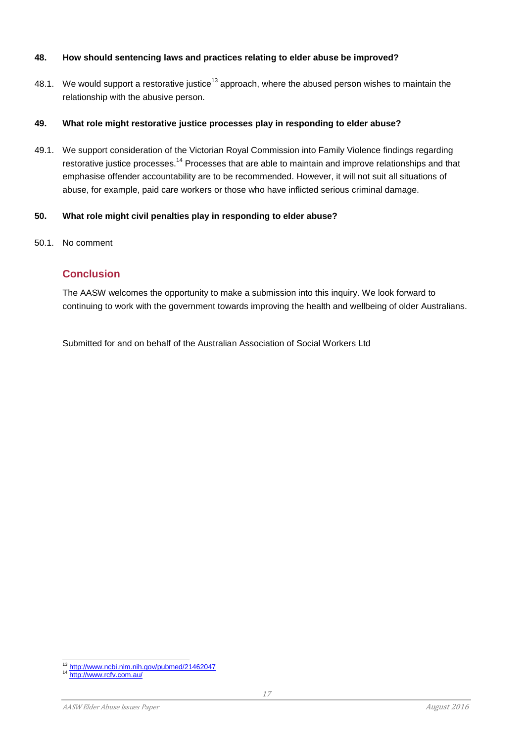#### **48. How should sentencing laws and practices relating to elder abuse be improved?**

48.1. We would support a restorative justice<sup>13</sup> approach, where the abused person wishes to maintain the relationship with the abusive person.

#### **49. What role might restorative justice processes play in responding to elder abuse?**

49.1. We support consideration of the Victorian Royal Commission into Family Violence findings regarding restorative justice processes.<sup>14</sup> Processes that are able to maintain and improve relationships and that emphasise offender accountability are to be recommended. However, it will not suit all situations of abuse, for example, paid care workers or those who have inflicted serious criminal damage.

#### **50. What role might civil penalties play in responding to elder abuse?**

50.1. No comment

#### **Conclusion**

The AASW welcomes the opportunity to make a submission into this inquiry. We look forward to continuing to work with the government towards improving the health and wellbeing of older Australians.

Submitted for and on behalf of the Australian Association of Social Workers Ltd

l <sup>13</sup> <http://www.ncbi.nlm.nih.gov/pubmed/21462047>

<sup>&</sup>lt;sup>14</sup> <http://www.rcfv.com.au/>